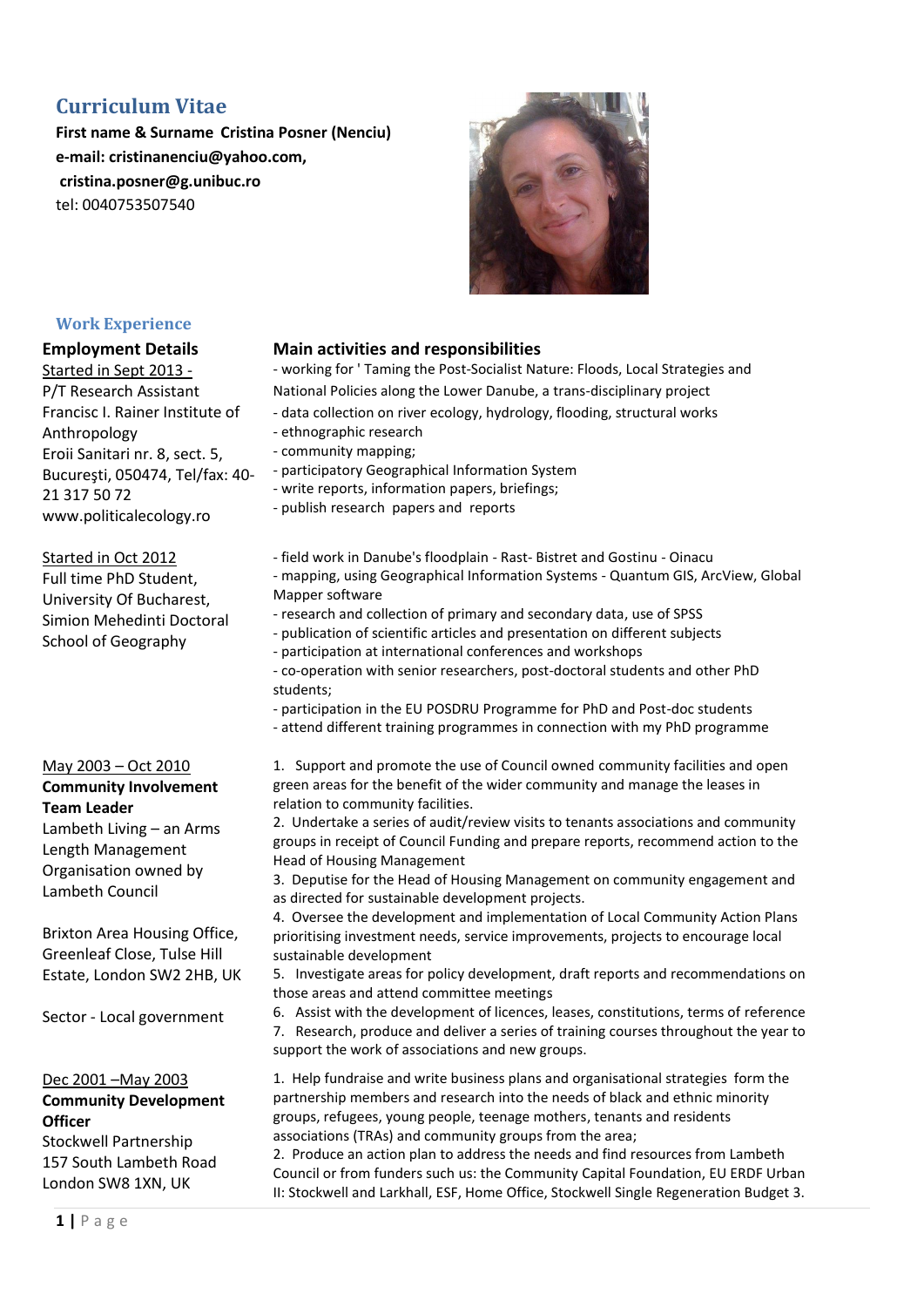# **Curriculum Vitae**

**First name & Surname Cristina Posner (Nenciu) e-mail: cristinanenciu@yahoo.com, cristina.posner@g.unibuc.ro**  tel: 0040753507540



### **Work Experience**

Started in Sept 2013 - P/T Research Assistant Francisc I. Rainer Institute of Anthropology Eroii Sanitari nr. 8, sect. 5, Bucureşti, 050474, Tel/fax: 40- 21 317 50 72 www.politicalecology.ro

### Started in Oct 2012

Full time PhD Student, University Of Bucharest, Simion Mehedinti Doctoral School of Geography

# May 2003 – Oct 2010

**Community Involvement Team Leader**

Lambeth Living – an Arms Length Management Organisation owned by Lambeth Council

Brixton Area Housing Office, Greenleaf Close, Tulse Hill Estate, London SW2 2HB, UK

Sector - Local government

### Dec 2001 –May 2003 **Community Development Officer**

Stockwell Partnership 157 South Lambeth Road London SW8 1XN, UK

# **Employment Details Main activities and responsibilities**

- working for ' Taming the Post-Socialist Nature: Floods, Local Strategies and National Policies along the Lower Danube, a trans-disciplinary project

- data collection on river ecology, hydrology, flooding, structural works
- ethnographic research
- community mapping;
- participatory Geographical Information System
- write reports, information papers, briefings;
- publish research papers and reports
- field work in Danube's floodplain Rast- Bistret and Gostinu Oinacu - mapping, using Geographical Information Systems - Quantum GIS, ArcView, Global Mapper software
- research and collection of primary and secondary data, use of SPSS
- publication of scientific articles and presentation on different subjects
- participation at international conferences and workshops
- co-operation with senior researchers, post-doctoral students and other PhD students;
- participation in the EU POSDRU Programme for PhD and Post-doc students
- attend different training programmes in connection with my PhD programme

1. Support and promote the use of Council owned community facilities and open green areas for the benefit of the wider community and manage the leases in relation to community facilities.

2. Undertake a series of audit/review visits to tenants associations and community groups in receipt of Council Funding and prepare reports, recommend action to the Head of Housing Management

3. Deputise for the Head of Housing Management on community engagement and as directed for sustainable development projects.

4. Oversee the development and implementation of Local Community Action Plans prioritising investment needs, service improvements, projects to encourage local sustainable development

5. Investigate areas for policy development, draft reports and recommendations on those areas and attend committee meetings

6. Assist with the development of licences, leases, constitutions, terms of reference 7. Research, produce and deliver a series of training courses throughout the year to support the work of associations and new groups.

1. Help fundraise and write business plans and organisational strategies form the partnership members and research into the needs of black and ethnic minority groups, refugees, young people, teenage mothers, tenants and residents associations (TRAs) and community groups from the area;

2. Produce an action plan to address the needs and find resources from Lambeth Council or from funders such us: the Community Capital Foundation, EU ERDF Urban II: Stockwell and Larkhall, ESF, Home Office, Stockwell Single Regeneration Budget 3.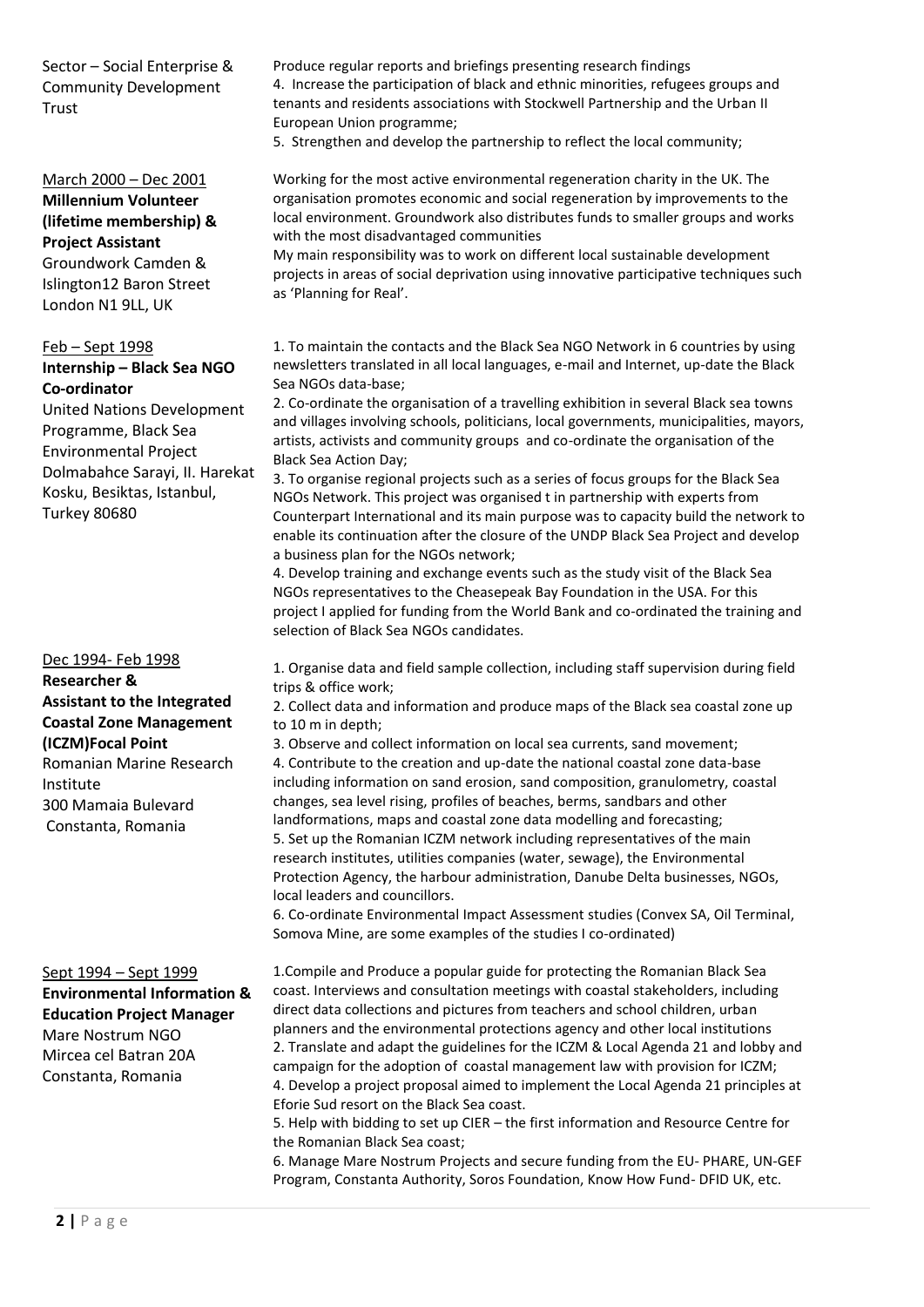Sector – Social Enterprise & Community Development Trust

### March 2000 – Dec 2001

**Millennium Volunteer (lifetime membership) & Project Assistant** Groundwork Camden & Islington12 Baron Street London N1 9LL, UK

# Feb – Sept 1998

**Internship – Black Sea NGO Co-ordinator**

United Nations Development Programme, Black Sea Environmental Project Dolmabahce Sarayi, II. Harekat Kosku, Besiktas, Istanbul, Turkey 80680

Dec 1994- Feb 1998 **Researcher & Assistant to the Integrated Coastal Zone Management (ICZM)Focal Point** Romanian Marine Research Institute 300 Mamaia Bulevard Constanta, Romania

Sept 1994 – Sept 1999 **Environmental Information & Education Project Manager** Mare Nostrum NGO Mircea cel Batran 20A Constanta, Romania

Produce regular reports and briefings presenting research findings 4. Increase the participation of black and ethnic minorities, refugees groups and tenants and residents associations with Stockwell Partnership and the Urban II European Union programme;

5. Strengthen and develop the partnership to reflect the local community;

Working for the most active environmental regeneration charity in the UK. The organisation promotes economic and social regeneration by improvements to the local environment. Groundwork also distributes funds to smaller groups and works with the most disadvantaged communities

My main responsibility was to work on different local sustainable development projects in areas of social deprivation using innovative participative techniques such as 'Planning for Real'.

1. To maintain the contacts and the Black Sea NGO Network in 6 countries by using newsletters translated in all local languages, e-mail and Internet, up-date the Black Sea NGOs data-base;

2. Co-ordinate the organisation of a travelling exhibition in several Black sea towns and villages involving schools, politicians, local governments, municipalities, mayors, artists, activists and community groups and co-ordinate the organisation of the Black Sea Action Day;

3. To organise regional projects such as a series of focus groups for the Black Sea NGOs Network. This project was organised t in partnership with experts from Counterpart International and its main purpose was to capacity build the network to enable its continuation after the closure of the UNDP Black Sea Project and develop a business plan for the NGOs network;

4. Develop training and exchange events such as the study visit of the Black Sea NGOs representatives to the Cheasepeak Bay Foundation in the USA. For this project I applied for funding from the World Bank and co-ordinated the training and selection of Black Sea NGOs candidates.

1. Organise data and field sample collection, including staff supervision during field trips & office work;

2. Collect data and information and produce maps of the Black sea coastal zone up to 10 m in depth;

3. Observe and collect information on local sea currents, sand movement; 4. Contribute to the creation and up-date the national coastal zone data-base including information on sand erosion, sand composition, granulometry, coastal changes, sea level rising, profiles of beaches, berms, sandbars and other landformations, maps and coastal zone data modelling and forecasting; 5. Set up the Romanian ICZM network including representatives of the main research institutes, utilities companies (water, sewage), the Environmental Protection Agency, the harbour administration, Danube Delta businesses, NGOs, local leaders and councillors.

6. Co-ordinate Environmental Impact Assessment studies (Convex SA, Oil Terminal, Somova Mine, are some examples of the studies I co-ordinated)

1.Compile and Produce a popular guide for protecting the Romanian Black Sea coast. Interviews and consultation meetings with coastal stakeholders, including direct data collections and pictures from teachers and school children, urban planners and the environmental protections agency and other local institutions 2. Translate and adapt the guidelines for the ICZM & Local Agenda 21 and lobby and campaign for the adoption of coastal management law with provision for ICZM; 4. Develop a project proposal aimed to implement the Local Agenda 21 principles at Eforie Sud resort on the Black Sea coast.

5. Help with bidding to set up CIER – the first information and Resource Centre for the Romanian Black Sea coast;

6. Manage Mare Nostrum Projects and secure funding from the EU- PHARE, UN-GEF Program, Constanta Authority, Soros Foundation, Know How Fund- DFID UK, etc.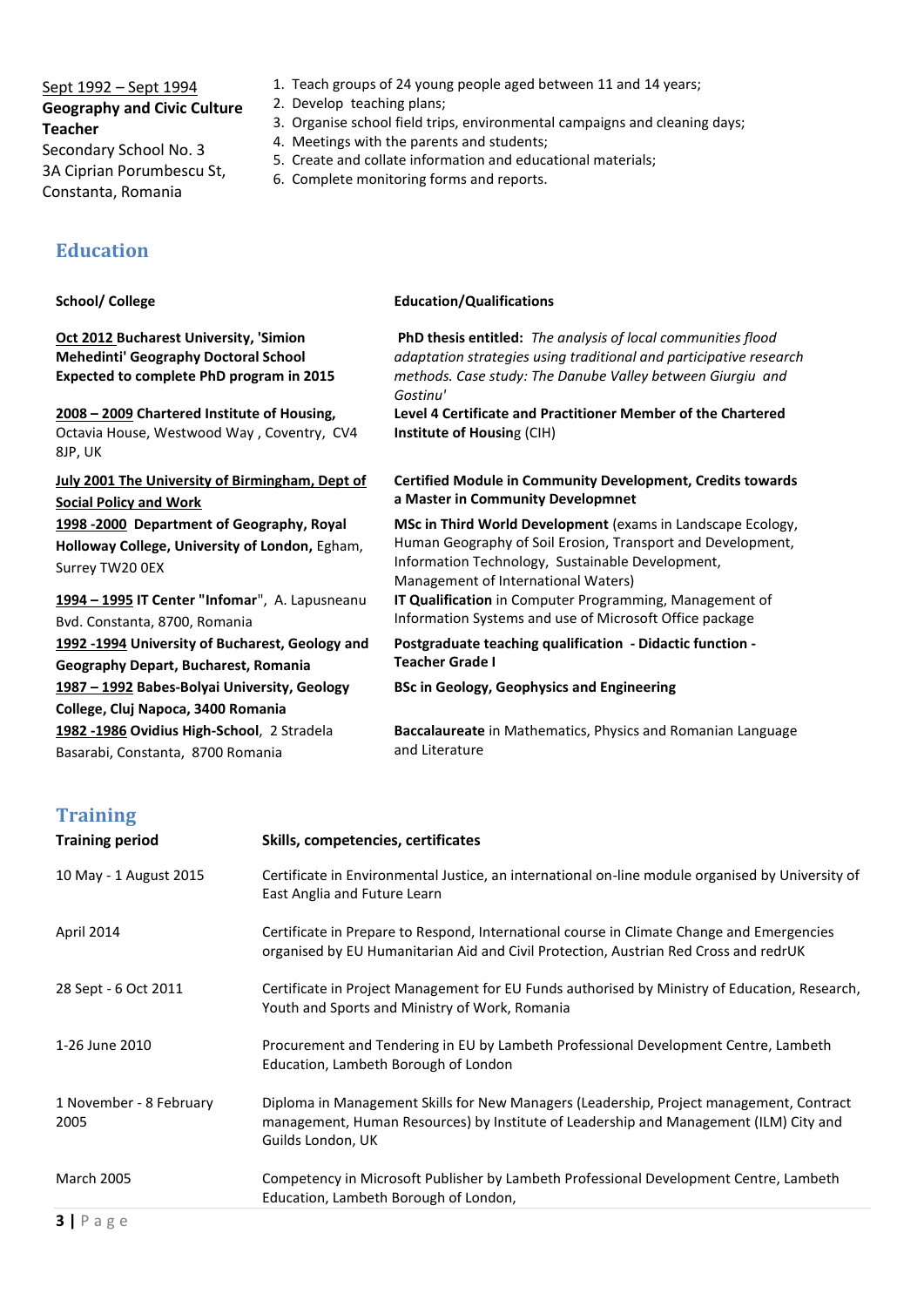# Sept 1992 – Sept 1994 **Geography and Civic Culture Teacher**

Secondary School No. 3 3A Ciprian Porumbescu St, Constanta, Romania

# **Education**

# **Oct 2012 Bucharest University, 'Simion Mehedinti' Geography Doctoral School Expected to complete PhD program in 2015** *Gostinu'* **2008 – 2009 Chartered Institute of Housing,**  Octavia House, Westwood Way , Coventry, CV4 8JP, UK **Institute of Housin**g (CIH) **July 2001 The University of Birmingham, Dept of Social Policy and Work 1998 -2000 Department of Geography, Royal Holloway College, University of London,** Egham, Surrey TW20 0EX **1994 – 1995 IT Center "Infomar**", A. Lapusneanu Bvd. Constanta, 8700, Romania

**School/ College Education/Qualifications** 

**1992 -1994 University of Bucharest, Geology and Geography Depart, Bucharest, Romania 1987 – 1992 Babes-Bolyai University, Geology College, Cluj Napoca, 3400 Romania 1982 -1986 Ovidius High-School**, 2 Stradela Basarabi, Constanta, 8700 Romania

1. Teach groups of 24 young people aged between 11 and 14 years;

2. Develop teaching plans;

- 3. Organise school field trips, environmental campaigns and cleaning days;
- 4. Meetings with the parents and students;
- 5. Create and collate information and educational materials;
- 6. Complete monitoring forms and reports.

**PhD thesis entitled:** *The analysis of local communities flood adaptation strategies using traditional and participative research methods. Case study: The Danube Valley between Giurgiu and* 

**Level 4 Certificate and Practitioner Member of the Chartered** 

#### **Certified Module in Community Development, Credits towards a Master in Community Developmnet**

**MSc in Third World Development** (exams in Landscape Ecology, Human Geography of Soil Erosion, Transport and Development, Information Technology, Sustainable Development, Management of International Waters)

**IT Qualification** in Computer Programming, Management of Information Systems and use of Microsoft Office package

**Postgraduate teaching qualification - Didactic function - Teacher Grade I**

**BSc in Geology, Geophysics and Engineering**

**Baccalaureate** in Mathematics, Physics and Romanian Language and Literature

# **Training**

| <b>Training period</b>          | Skills, competencies, certificates                                                                                                                                                                    |
|---------------------------------|-------------------------------------------------------------------------------------------------------------------------------------------------------------------------------------------------------|
| 10 May - 1 August 2015          | Certificate in Environmental Justice, an international on-line module organised by University of<br>East Anglia and Future Learn                                                                      |
| April 2014                      | Certificate in Prepare to Respond, International course in Climate Change and Emergencies<br>organised by EU Humanitarian Aid and Civil Protection, Austrian Red Cross and redrUK                     |
| 28 Sept - 6 Oct 2011            | Certificate in Project Management for EU Funds authorised by Ministry of Education, Research,<br>Youth and Sports and Ministry of Work, Romania                                                       |
| 1-26 June 2010                  | Procurement and Tendering in EU by Lambeth Professional Development Centre, Lambeth<br>Education, Lambeth Borough of London                                                                           |
| 1 November - 8 February<br>2005 | Diploma in Management Skills for New Managers (Leadership, Project management, Contract<br>management, Human Resources) by Institute of Leadership and Management (ILM) City and<br>Guilds London, UK |
| <b>March 2005</b>               | Competency in Microsoft Publisher by Lambeth Professional Development Centre, Lambeth<br>Education, Lambeth Borough of London,                                                                        |